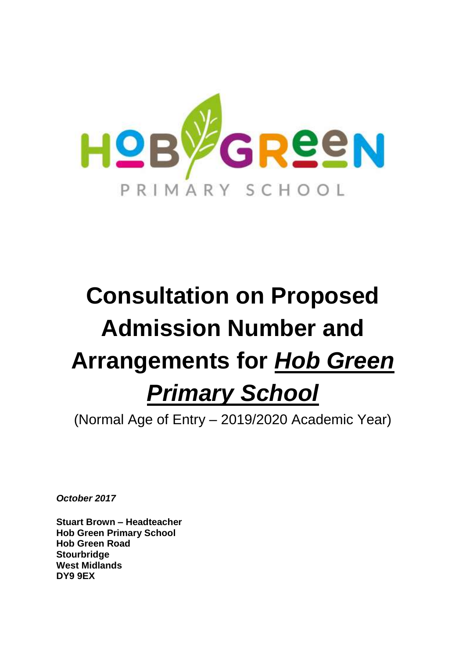

# **Consultation on Proposed Admission Number and Arrangements for** *Hob Green Primary School*

(Normal Age of Entry – 2019/2020 Academic Year)

*October 2017*

**Stuart Brown – Headteacher Hob Green Primary School Hob Green Road Stourbridge West Midlands DY9 9EX**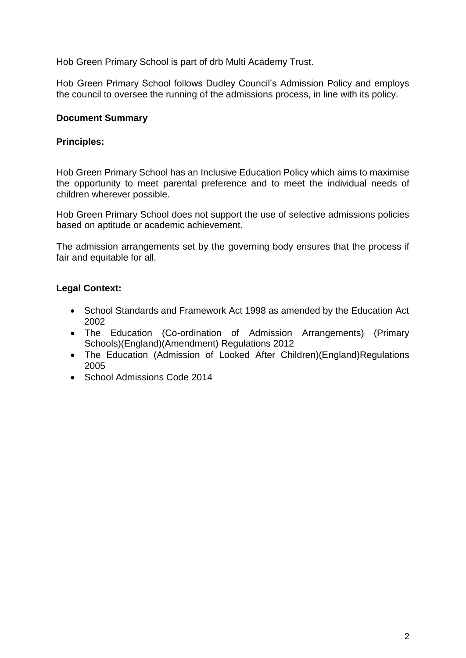Hob Green Primary School is part of drb Multi Academy Trust.

Hob Green Primary School follows Dudley Council's Admission Policy and employs the council to oversee the running of the admissions process, in line with its policy.

#### **Document Summary**

#### **Principles:**

Hob Green Primary School has an Inclusive Education Policy which aims to maximise the opportunity to meet parental preference and to meet the individual needs of children wherever possible.

Hob Green Primary School does not support the use of selective admissions policies based on aptitude or academic achievement.

The admission arrangements set by the governing body ensures that the process if fair and equitable for all.

# **Legal Context:**

- School Standards and Framework Act 1998 as amended by the Education Act 2002
- The Education (Co-ordination of Admission Arrangements) (Primary Schools)(England)(Amendment) Regulations 2012
- The Education (Admission of Looked After Children)(England)Regulations 2005
- School Admissions Code 2014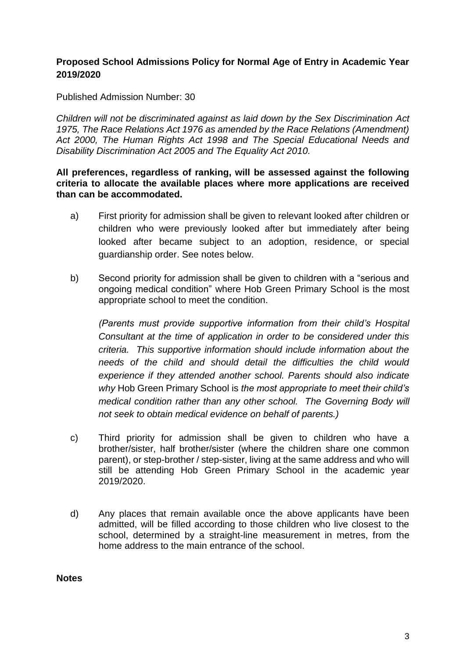# **Proposed School Admissions Policy for Normal Age of Entry in Academic Year 2019/2020**

Published Admission Number: 30

*Children will not be discriminated against as laid down by the Sex Discrimination Act 1975, The Race Relations Act 1976 as amended by the Race Relations (Amendment) Act 2000, The Human Rights Act 1998 and The Special Educational Needs and Disability Discrimination Act 2005 and The Equality Act 2010.*

**All preferences, regardless of ranking, will be assessed against the following criteria to allocate the available places where more applications are received than can be accommodated.**

- a) First priority for admission shall be given to relevant looked after children or children who were previously looked after but immediately after being looked after became subject to an adoption, residence, or special guardianship order. See notes below.
- b) Second priority for admission shall be given to children with a "serious and ongoing medical condition" where Hob Green Primary School is the most appropriate school to meet the condition.

*(Parents must provide supportive information from their child's Hospital Consultant at the time of application in order to be considered under this criteria. This supportive information should include information about the needs of the child and should detail the difficulties the child would experience if they attended another school. Parents should also indicate why* Hob Green Primary School is *the most appropriate to meet their child's medical condition rather than any other school. The Governing Body will not seek to obtain medical evidence on behalf of parents.)*

- c) Third priority for admission shall be given to children who have a brother/sister, half brother/sister (where the children share one common parent), or step-brother / step-sister, living at the same address and who will still be attending Hob Green Primary School in the academic year 2019/2020.
- d) Any places that remain available once the above applicants have been admitted, will be filled according to those children who live closest to the school, determined by a straight-line measurement in metres, from the home address to the main entrance of the school.

**Notes**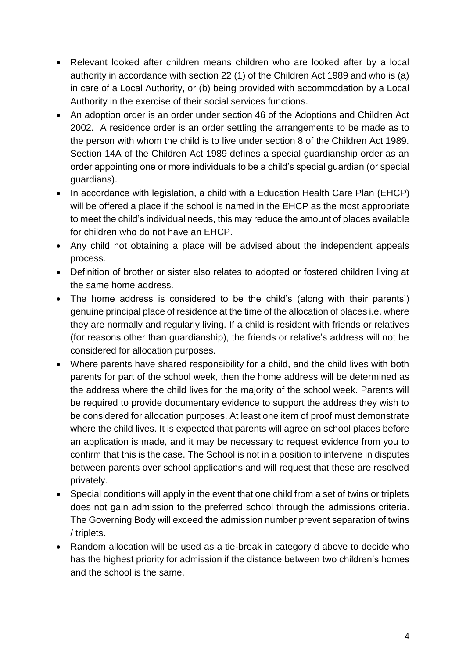- Relevant looked after children means children who are looked after by a local authority in accordance with section 22 (1) of the Children Act 1989 and who is (a) in care of a Local Authority, or (b) being provided with accommodation by a Local Authority in the exercise of their social services functions.
- An adoption order is an order under section 46 of the Adoptions and Children Act 2002. A residence order is an order settling the arrangements to be made as to the person with whom the child is to live under section 8 of the Children Act 1989. Section 14A of the Children Act 1989 defines a special guardianship order as an order appointing one or more individuals to be a child's special guardian (or special guardians).
- In accordance with legislation, a child with a Education Health Care Plan (EHCP) will be offered a place if the school is named in the EHCP as the most appropriate to meet the child's individual needs, this may reduce the amount of places available for children who do not have an EHCP.
- Any child not obtaining a place will be advised about the independent appeals process.
- Definition of brother or sister also relates to adopted or fostered children living at the same home address.
- The home address is considered to be the child's (along with their parents') genuine principal place of residence at the time of the allocation of places i.e. where they are normally and regularly living. If a child is resident with friends or relatives (for reasons other than guardianship), the friends or relative's address will not be considered for allocation purposes.
- Where parents have shared responsibility for a child, and the child lives with both parents for part of the school week, then the home address will be determined as the address where the child lives for the majority of the school week. Parents will be required to provide documentary evidence to support the address they wish to be considered for allocation purposes. At least one item of proof must demonstrate where the child lives. It is expected that parents will agree on school places before an application is made, and it may be necessary to request evidence from you to confirm that this is the case. The School is not in a position to intervene in disputes between parents over school applications and will request that these are resolved privately.
- Special conditions will apply in the event that one child from a set of twins or triplets does not gain admission to the preferred school through the admissions criteria. The Governing Body will exceed the admission number prevent separation of twins / triplets.
- Random allocation will be used as a tie-break in category d above to decide who has the highest priority for admission if the distance between two children's homes and the school is the same.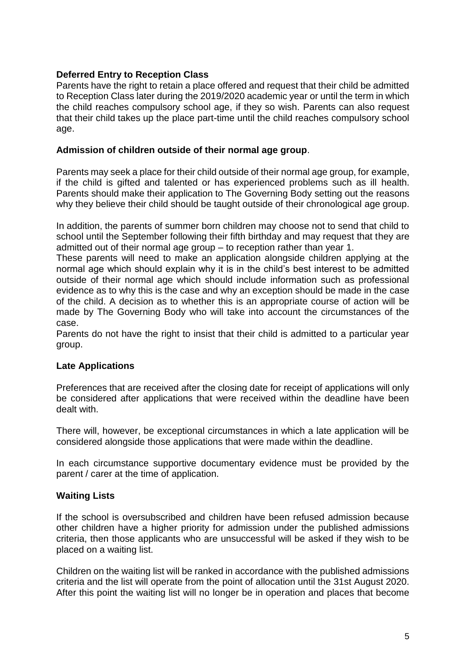# **Deferred Entry to Reception Class**

Parents have the right to retain a place offered and request that their child be admitted to Reception Class later during the 2019/2020 academic year or until the term in which the child reaches compulsory school age, if they so wish. Parents can also request that their child takes up the place part-time until the child reaches compulsory school age.

#### **Admission of children outside of their normal age group**.

Parents may seek a place for their child outside of their normal age group, for example, if the child is gifted and talented or has experienced problems such as ill health. Parents should make their application to The Governing Body setting out the reasons why they believe their child should be taught outside of their chronological age group.

In addition, the parents of summer born children may choose not to send that child to school until the September following their fifth birthday and may request that they are admitted out of their normal age group – to reception rather than year 1.

These parents will need to make an application alongside children applying at the normal age which should explain why it is in the child's best interest to be admitted outside of their normal age which should include information such as professional evidence as to why this is the case and why an exception should be made in the case of the child. A decision as to whether this is an appropriate course of action will be made by The Governing Body who will take into account the circumstances of the case.

Parents do not have the right to insist that their child is admitted to a particular year group.

# **Late Applications**

Preferences that are received after the closing date for receipt of applications will only be considered after applications that were received within the deadline have been dealt with.

There will, however, be exceptional circumstances in which a late application will be considered alongside those applications that were made within the deadline.

In each circumstance supportive documentary evidence must be provided by the parent / carer at the time of application.

# **Waiting Lists**

If the school is oversubscribed and children have been refused admission because other children have a higher priority for admission under the published admissions criteria, then those applicants who are unsuccessful will be asked if they wish to be placed on a waiting list.

Children on the waiting list will be ranked in accordance with the published admissions criteria and the list will operate from the point of allocation until the 31st August 2020. After this point the waiting list will no longer be in operation and places that become